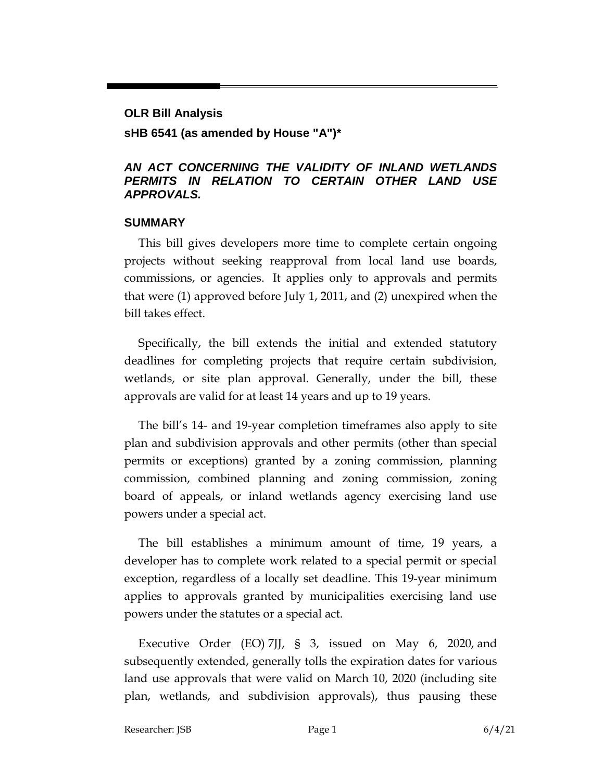# **OLR Bill Analysis sHB 6541 (as amended by House "A")\***

#### *AN ACT CONCERNING THE VALIDITY OF INLAND WETLANDS PERMITS IN RELATION TO CERTAIN OTHER LAND USE APPROVALS.*

#### **SUMMARY**

This bill gives developers more time to complete certain ongoing projects without seeking reapproval from local land use boards, commissions, or agencies. It applies only to approvals and permits that were (1) approved before July 1, 2011, and (2) unexpired when the bill takes effect.

Specifically, the bill extends the initial and extended statutory deadlines for completing projects that require certain subdivision, wetlands, or site plan approval. Generally, under the bill, these approvals are valid for at least 14 years and up to 19 years.

The bill's 14- and 19-year completion timeframes also apply to site plan and subdivision approvals and other permits (other than special permits or exceptions) granted by a zoning commission, planning commission, combined planning and zoning commission, zoning board of appeals, or inland wetlands agency exercising land use powers under a special act.

The bill establishes a minimum amount of time, 19 years, a developer has to complete work related to a special permit or special exception, regardless of a locally set deadline. This 19-year minimum applies to approvals granted by municipalities exercising land use powers under the statutes or a special act.

Executive Order (EO) 7JJ, § 3, issued on May 6, 2020, and subsequently extended, generally tolls the expiration dates for various land use approvals that were valid on March 10, 2020 (including site plan, wetlands, and subdivision approvals), thus pausing these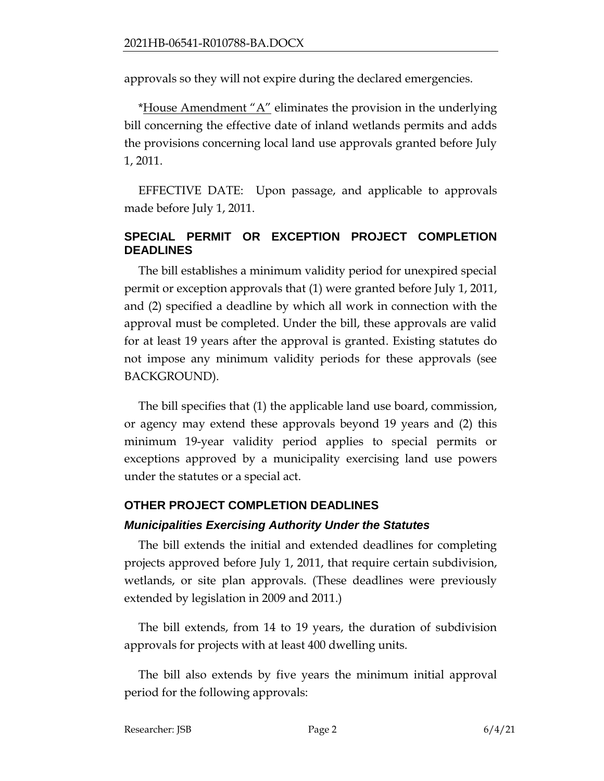approvals so they will not expire during the declared emergencies.

\*House Amendment " $A$ " eliminates the provision in the underlying bill concerning the effective date of inland wetlands permits and adds the provisions concerning local land use approvals granted before July 1, 2011.

EFFECTIVE DATE: Upon passage, and applicable to approvals made before July 1, 2011.

#### **SPECIAL PERMIT OR EXCEPTION PROJECT COMPLETION DEADLINES**

The bill establishes a minimum validity period for unexpired special permit or exception approvals that (1) were granted before July 1, 2011, and (2) specified a deadline by which all work in connection with the approval must be completed. Under the bill, these approvals are valid for at least 19 years after the approval is granted. Existing statutes do not impose any minimum validity periods for these approvals (see BACKGROUND).

The bill specifies that (1) the applicable land use board, commission, or agency may extend these approvals beyond 19 years and (2) this minimum 19-year validity period applies to special permits or exceptions approved by a municipality exercising land use powers under the statutes or a special act.

### **OTHER PROJECT COMPLETION DEADLINES**

#### *Municipalities Exercising Authority Under the Statutes*

The bill extends the initial and extended deadlines for completing projects approved before July 1, 2011, that require certain subdivision, wetlands, or site plan approvals. (These deadlines were previously extended by legislation in 2009 and 2011.)

The bill extends, from 14 to 19 years, the duration of subdivision approvals for projects with at least 400 dwelling units.

The bill also extends by five years the minimum initial approval period for the following approvals: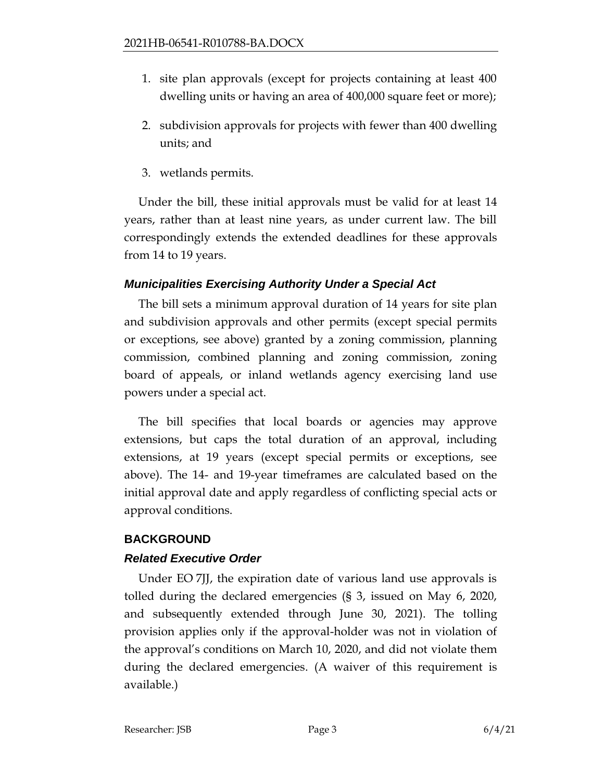- 1. site plan approvals (except for projects containing at least 400 dwelling units or having an area of 400,000 square feet or more);
- 2. subdivision approvals for projects with fewer than 400 dwelling units; and
- 3. wetlands permits.

Under the bill, these initial approvals must be valid for at least 14 years, rather than at least nine years, as under current law. The bill correspondingly extends the extended deadlines for these approvals from 14 to 19 years.

### *Municipalities Exercising Authority Under a Special Act*

The bill sets a minimum approval duration of 14 years for site plan and subdivision approvals and other permits (except special permits or exceptions, see above) granted by a zoning commission, planning commission, combined planning and zoning commission, zoning board of appeals, or inland wetlands agency exercising land use powers under a special act.

The bill specifies that local boards or agencies may approve extensions, but caps the total duration of an approval, including extensions, at 19 years (except special permits or exceptions, see above). The 14- and 19-year timeframes are calculated based on the initial approval date and apply regardless of conflicting special acts or approval conditions.

# **BACKGROUND**

# *Related Executive Order*

Under EO 7JJ, the expiration date of various land use approvals is tolled during the declared emergencies (§ 3, issued on May 6, 2020, and subsequently extended through June 30, 2021). The tolling provision applies only if the approval-holder was not in violation of the approval's conditions on March 10, 2020, and did not violate them during the declared emergencies. (A waiver of this requirement is available.)